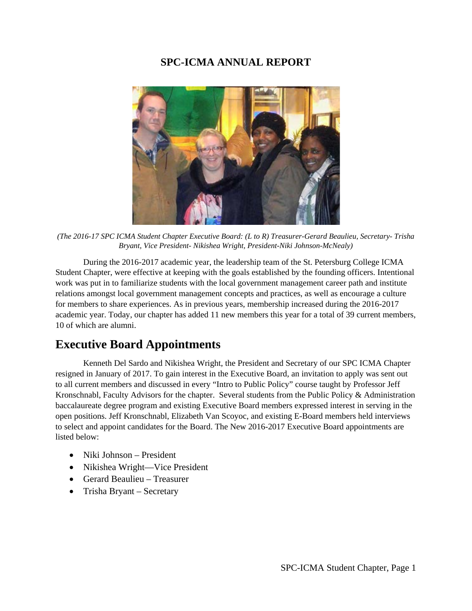# **SPC-ICMA ANNUAL REPORT**



*(The 2016-17 SPC ICMA Student Chapter Executive Board: (L to R) Treasurer-Gerard Beaulieu, Secretary- Trisha Bryant, Vice President- Nikishea Wright, President-Niki Johnson-McNealy)*

During the 2016-2017 academic year, the leadership team of the St. Petersburg College ICMA Student Chapter, were effective at keeping with the goals established by the founding officers. Intentional work was put in to familiarize students with the local government management career path and institute relations amongst local government management concepts and practices, as well as encourage a culture for members to share experiences. As in previous years, membership increased during the 2016-2017 academic year. Today, our chapter has added 11 new members this year for a total of 39 current members, 10 of which are alumni.

# **Executive Board Appointments**

Kenneth Del Sardo and Nikishea Wright, the President and Secretary of our SPC ICMA Chapter resigned in January of 2017. To gain interest in the Executive Board, an invitation to apply was sent out to all current members and discussed in every "Intro to Public Policy" course taught by Professor Jeff Kronschnabl, Faculty Advisors for the chapter. Several students from the Public Policy & Administration baccalaureate degree program and existing Executive Board members expressed interest in serving in the open positions. Jeff Kronschnabl, Elizabeth Van Scoyoc, and existing E-Board members held interviews to select and appoint candidates for the Board. The New 2016-2017 Executive Board appointments are listed below:

- Niki Johnson President
- Nikishea Wright—Vice President
- Gerard Beaulieu Treasurer
- Trisha Bryant Secretary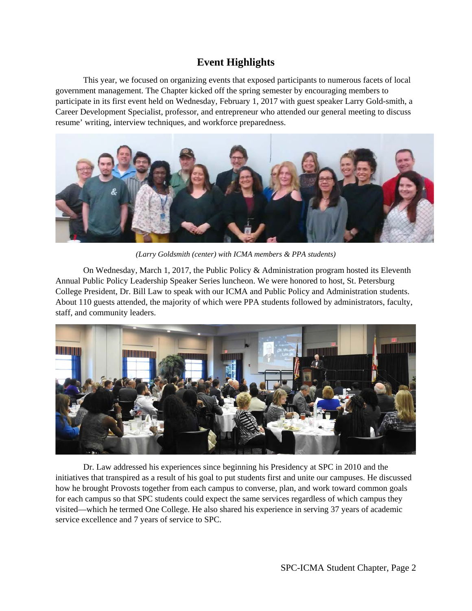# **Event Highlights**

This year, we focused on organizing events that exposed participants to numerous facets of local government management. The Chapter kicked off the spring semester by encouraging members to participate in its first event held on Wednesday, February 1, 2017 with guest speaker Larry Gold-smith, a Career Development Specialist, professor, and entrepreneur who attended our general meeting to discuss resume' writing, interview techniques, and workforce preparedness.



*(Larry Goldsmith (center) with ICMA members & PPA students)*

On Wednesday, March 1, 2017, the Public Policy & Administration program hosted its Eleventh Annual Public Policy Leadership Speaker Series luncheon. We were honored to host, St. Petersburg College President, Dr. Bill Law to speak with our ICMA and Public Policy and Administration students. About 110 guests attended, the majority of which were PPA students followed by administrators, faculty, staff, and community leaders.



Dr. Law addressed his experiences since beginning his Presidency at SPC in 2010 and the initiatives that transpired as a result of his goal to put students first and unite our campuses. He discussed how he brought Provosts together from each campus to converse, plan, and work toward common goals for each campus so that SPC students could expect the same services regardless of which campus they visited—which he termed One College. He also shared his experience in serving 37 years of academic service excellence and 7 years of service to SPC.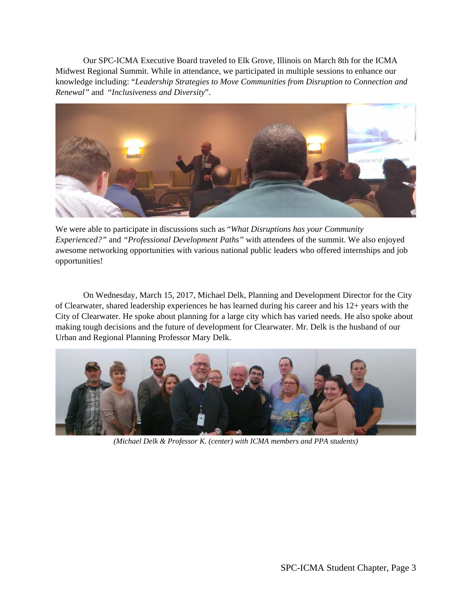Our SPC-ICMA Executive Board traveled to Elk Grove, Illinois on March 8th for the ICMA Midwest Regional Summit. While in attendance, we participated in multiple sessions to enhance our knowledge including: "*Leadership Strategies to Move Communities from Disruption to Connection and Renewal"* and "*Inclusiveness and Diversity*".



We were able to participate in discussions such as "*What Disruptions has your Community Experienced?"* and *"Professional Development Paths"* with attendees of the summit. We also enjoyed awesome networking opportunities with various national public leaders who offered internships and job opportunities!

On Wednesday, March 15, 2017, Michael Delk, Planning and Development Director for the City of Clearwater, shared leadership experiences he has learned during his career and his 12+ years with the City of Clearwater. He spoke about planning for a large city which has varied needs. He also spoke about making tough decisions and the future of development for Clearwater. Mr. Delk is the husband of our Urban and Regional Planning Professor Mary Delk.



*(Michael Delk & Professor K. (center) with ICMA members and PPA students)*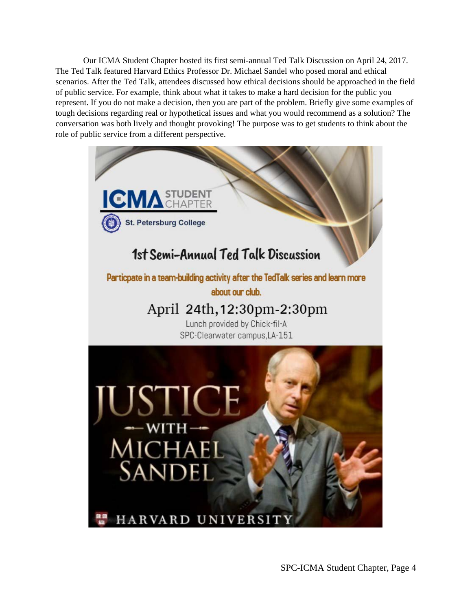Our ICMA Student Chapter hosted its first semi-annual Ted Talk Discussion on April 24, 2017. The Ted Talk featured Harvard Ethics Professor Dr. Michael Sandel who posed moral and ethical scenarios. After the Ted Talk, attendees discussed how ethical decisions should be approached in the field of public service. For example, think about what it takes to make a hard decision for the public you represent. If you do not make a decision, then you are part of the problem. Briefly give some examples of tough decisions regarding real or hypothetical issues and what you would recommend as a solution? The conversation was both lively and thought provoking! The purpose was to get students to think about the role of public service from a different perspective.